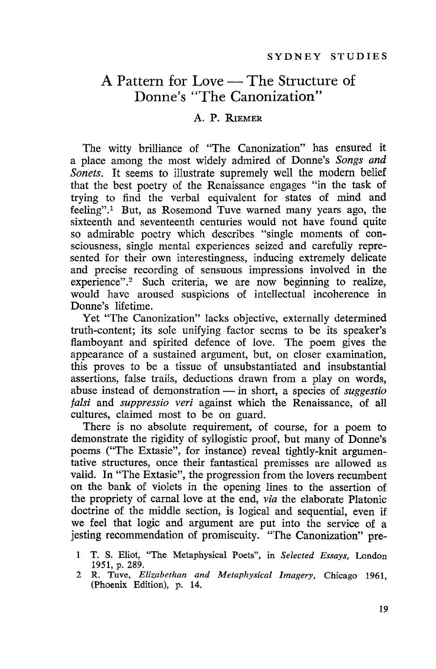# A Pattern for Love — The Structure of Donne's "The Canonization"

#### A. P. RIEMER

The witty brilliance of "The Canonization" has ensured it a place among the most widely admired of Donne's *Songs and Sonets.* It seems to illustrate supremely well the modern belief that the best poetry of the Renaissance engages "in the task of trying to find the verbal equivalent for states of mind and feeling".<sup>1</sup> But, as Rosemond Tuve warned many years ago, the sixteenth and seventeenth centuries would not have found quite so admirable poetry which describes "single moments of consciousness, single mental experiences seized and carefully represented for their own interestingness, inducing extremely delicate and precise recording of sensuous impressions involved in the experience".<sup>2</sup> Such criteria, we are now beginning to realize, would have aroused suspicions of intellectual incoherence in Donne's lifetime.

Yet "The Canonization" lacks objective, externally determined truth-content; its sole unifying factor seems to be its speaker's flamboyant and spirited defence of love. The poem gives the appearance of a sustained argument, but, on closer examination, this proves to be a tissue of unsubstantiated and insubstantial assertions, false trails, deductions drawn from a play on words, abuse instead of demonstration - in short, a species of *suggestio falsi* and *suppressio veri* against which the Renaissance, of all cultures, claimed most to be on guard.

There is no absolute requirement, of course, for a poem to demonstrate the rigidity of syllogistic proof, but many of Donne's poems ("The Extasie", for instance) reveal tightly-knit argumentative structures, once their fantastical premisses are allowed as valid. In "The Extasie", the progression from the lovers recumbent on the bank of violets in the opening lines to the assertion of the propriety of carnal love at the end, *via* the elaborate Platonic doctrine of the middle section, is logical and sequential, even if we feel that logic and argument are put into the service of a jesting recommendation of promiscuity. "The Canonization" pre-

T. S. Eliot, "The Metaphysical Poets", in *Selected Essays,* London 1951, p. 289.

<sup>2</sup> R. Tuve, *Elizabethan and Metaphysical Imagery.* Chicago 1961, (Phoenix Edition), p. 14.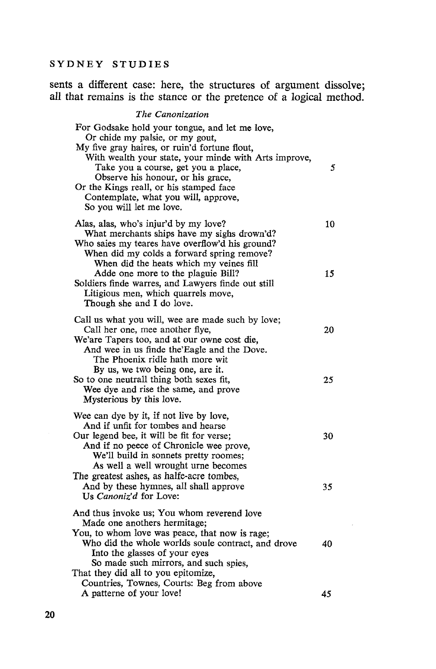sents a different case: here, the structures of argument dissolve; all that remains is the stance or the pretence of a logical method.

### *The Canonization*

| For Godsake hold your tongue, and let me love,<br>Or chide my palsie, or my gout,<br>My five gray haires, or ruin'd fortune flout,<br>With wealth your state, your minde with Arts improve,<br>Take you a course, get you a place,<br>Observe his honour, or his grace,<br>Or the Kings reall, or his stamped face<br>Contemplate, what you will, approve,<br>So you will let me love. | 5  |
|----------------------------------------------------------------------------------------------------------------------------------------------------------------------------------------------------------------------------------------------------------------------------------------------------------------------------------------------------------------------------------------|----|
| Alas, alas, who's injur'd by my love?<br>What merchants ships have my sighs drown'd?<br>Who saies my teares have overflow'd his ground?<br>When did my colds a forward spring remove?                                                                                                                                                                                                  | 10 |
| When did the heats which my veines fill<br>Adde one more to the plaguie Bill?<br>Soldiers finde warres, and Lawyers finde out still<br>Litigious men, which quarrels move,<br>Though she and I do love.                                                                                                                                                                                | 15 |
| Call us what you will, wee are made such by love;<br>Call her one, mee another flye,<br>We'are Tapers too, and at our owne cost die,<br>And wee in us finde the Eagle and the Dove.<br>The Phoenix ridle hath more wit<br>By us, we two being one, are it.                                                                                                                             | 20 |
| So to one neutrall thing both sexes fit,<br>Wee dye and rise the same, and prove<br>Mysterious by this love.                                                                                                                                                                                                                                                                           | 25 |
| Wee can dye by it, if not live by love,<br>And if unfit for tombes and hearse<br>Our legend bee, it will be fit for verse;<br>And if no peece of Chronicle wee prove,<br>We'll build in sonnets pretty roomes;<br>As well a well wrought urne becomes                                                                                                                                  | 30 |
| The greatest ashes, as halfe-acre tombes,<br>And by these hymnes, all shall approve<br>Us Canoniz'd for Love:                                                                                                                                                                                                                                                                          | 35 |
| And thus invoke us; You whom reverend love<br>Made one anothers hermitage;<br>You, to whom love was peace, that now is rage;<br>Who did the whole worlds soule contract, and drove<br>Into the glasses of your eyes<br>So made such mirrors, and such spies,                                                                                                                           | 40 |
| That they did all to you epitomize,<br>Countries, Townes, Courts: Beg from above<br>A patterne of your love!                                                                                                                                                                                                                                                                           | 45 |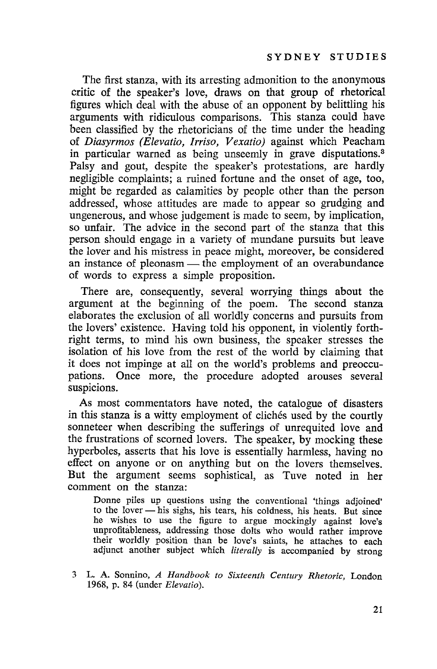The first stanza, with its arresting admonition to the anonymous critic of the speaker's love, draws on that group of rhetorical figures which deal with the abuse of an opponent by belittling his arguments with ridiculous comparisons. This stanza could have been classified by the rhetoricians of the time under the heading of *Diasyrmos (Elevatio, lrriso, Vexatio)* against which Peacham in particular warned as being unseemly in grave disputations.<sup>3</sup> Palsy and gout, despite the speaker's protestations, are hardly negligible complaints; a ruined fortune and the onset of age, too, might be regarded as calamities by people other than the person addressed, whose attitudes are made to appear so grudging and ungenerous, and whose judgement is made to seem, by implication, so unfair. The advice in the second part of the stanza that this person should engage in a variety of mundane pursuits but leave the lover and his mistress in peace might, moreover, be considered an instance of pleonasm  $-$  the employment of an overabundance of words to express a simple proposition.

There are, consequently, several worrying things about the argument at the beginning of the poem. The second stanza elaborates the exclusion of all worldly concerns and pursuits from the lovers' existence. Having told his opponent, in violently forthright terms, to mind his own business, the speaker stresses the isolation of his love from the rest of the world by claiming that it does not impinge at all on the world's problems and preoccupations. Once more, the procedure adopted arouses several suspicions.

As most commentators have noted, the catalogue of disasters in this stanza is a witty employment of cliches used by the courtly sonneteer when describing the sufferings of unrequited love and the frustrations of scorned lovers. The speaker, by mocking these hyperboles, asserts that his love is essentially harmless, having no effect on anyone or on anything but on the lovers themselves. But the argument seems sophistical, as Tuve noted in her comment on the stanza:

Donne piles up questions using the conventional 'things adjoined' to the lover - his sighs, his tears, his coldness, his heats. But since he wishes to use the figure to argue mockingly against love's unprofitableness, addressing those dolts who would rather improve their worldly position than be love's saints, he attaches to each adjunct another subject which *literally* is accompanied by strong

<sup>3</sup> L. A. Sonnino, *A Handbook to Sixteenth Century Rhetoric,* London 1968, p. 84 (under *Elevatio).*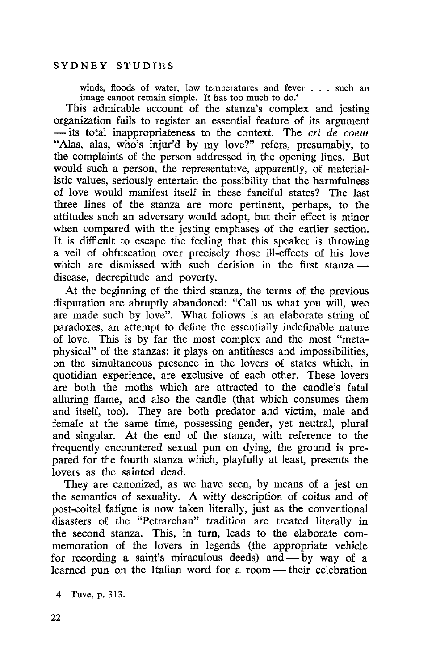winds, floods of water, low temperatures and fever . . . such an image cannot remain simple. It has too much to do.'

This admirable account of the stanza's complex and jesting organization fails to register an essential feature of its argument - its total inappropriateness to the context. The *cri de coeur* "Alas, alas, who's injur'd by my love?" refers, presumably, to the complaints of the person addressed in the opening lines. But would such a person, the representative, apparently, of materialistic values, seriously entertain the possibility that the harmfulness of love would manifest itself in these fanciful states? The last three lines of the stanza are more pertinent, perhaps, to the attitudes such an adversary would adopt, but their effect is minor when compared with the jesting emphases of the earlier section. It is difficult to escape the feeling that this speaker is throwing a veil of obfuscation over precisely those ill-effects of his love which are dismissed with such derision in the first stanza disease, decrepitude and poverty.

At the beginning of the third stanza, the terms of the previous disputation are abruptly abandoned: "Call us what you will, wee are made such by love". What follows is an elaborate string of paradoxes, an attempt to define the essentially indefinable nature of love. This is by far the most complex and the most "metaphysical" of the stanzas: it plays on antitheses and impossibilities, on the simultaneous presence in the lovers of states which, in quotidian experience, are exclusive of each other. These lovers are both the moths which are attracted to the candle's fatal alluring flame, and also the candle (that which consumes them and itself, too). They are both predator and victim, male and female at the same time, possessing gender, yet neutral, plural and singular. At the end of the stanza, with reference to the frequently encountered sexual pun on dying, the ground is prepared for the fourth stanza which, playfully at least, presents the lovers as the sainted dead.

They are canonized, as we have seen, by means of a jest on the semantics of sexuality. A witty description of coitus and of post-coital fatigue is now taken literally, just as the conventional disasters of the "Petrarchan" tradition are treated literally in the second stanza. This, in turn, leads to the elaborate commemoration of the lovers in legends (the appropriate vehicle for recording a saint's miraculous deeds) and  $-$  by way of a learned pun on the Italian word for a room — their celebration

4 Tuve, p. 313.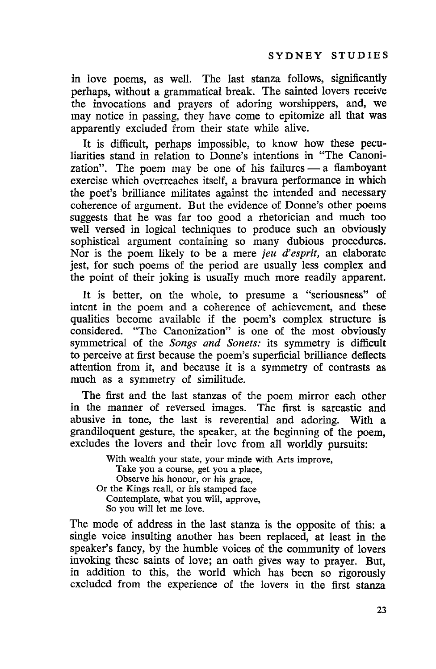in love poems, as well. The last stanza follows, significantly perhaps, without a grammatical break. The sainted lovers receive the invocations and prayers of adoring worshippers, and, we may notice in passing, they have come to epitomize all that was apparently excluded from their state while alive.

It is difficult, perhaps impossible, to know how these peculiarities stand in relation to Donne's intentions in "The Canonization". The poem may be one of his failures  $-$  a flamboyant exercise which overreaches itself, a bravura performance in which the poet's brilliance militates against the intended and necessary coherence of argument. But the evidence of Donne's other poems suggests that he was far too good a rhetorician and much too well versed in logical techniques to produce such an obviously sophistical argument containing so many dubious procedures. Nor is the poem likely to be a mere *jeu d'esprit,* an elaborate jest, for such poems of the period are usually less complex and the point of their joking is usually much more readily apparent.

It is better, on the whole, to presume a "seriousness" of intent in the poem and a coherence of achievement, and these qualities become available if the poem's complex structure is considered. "The Canonization" is one of the most obviously symmetrical of the *Songs and Sonets:* its symmetry is difficult to perceive at first because the poem's superficial brilliance deflects attention from it, and because it is a symmetry of contrasts as much as a symmetry of similitude.

The first and the last stanzas of the poem mirror each other in the manner of reversed images. The first is sarcastic and abusive in tone, the last is reverential and adoring. With a grandiloquent gesture, the speaker, at the beginning of the poem, excludes the lovers and their love from all worldly pursuits:

With wealth your state, your minde with Arts improve, Take you a course, get you a place, Observe his honour, or his grace, Or the Kings realI, or his stamped face Contemplate, what you will, approve, So you will let me love.

The mode of address in the last stanza is the opposite of this: a single voice insulting another has been replaced, at least in the speaker's fancy, by the humble voices of the community of lovers invoking these saints of love; an oath gives way to prayer. But, in addition to this, the world which has been so rigorously excluded from the experience of the lovers in the first stanza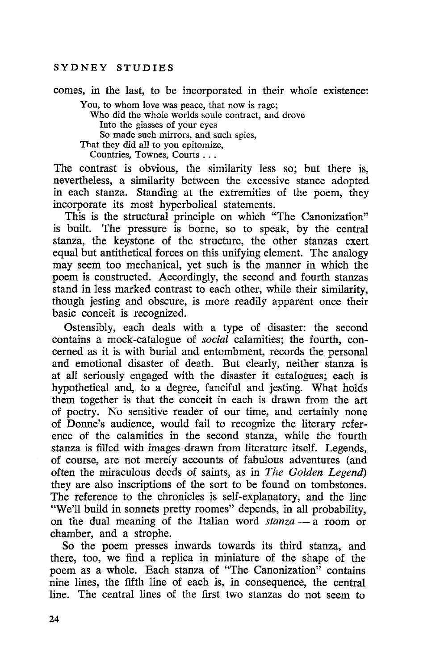comes, in the last, to be incorporated in their whole existence:

You, to whom love was peace, that now is rage; Who did the whole worlds soule contract, and drove Into the glasses of your eyes So made such mirrors, and such spies, That they did all to you epitomize, Countries, Townes, Courts ...

The contrast is obvious, the similarity less so; but there is, nevertheless, a similarity between the excessive stance adopted in each stanza. Standing at the extremities of the poem, they incorporate its most hyperbolical statements.

This is the structural principle on which "The Canonization" is built. The pressure is borne, so to speak, by the central stanza, the keystone of the structure, the other stanzas exert equal but antithetical forces on this unifying element. The analogy may seem too mechanical, yet such is the manner in which the poem is constructed. Accordingly, the second and fourth stanzas stand in less marked contrast to each other, while their similarity, though jesting and obscure, is more readily apparent once their basic conceit is recognized.

Ostensibly, each deals with a type of disaster: the second contains a mock-catalogue of *social* calamities; the fourth, concerned as it is with burial and entombment, records the personal and emotional disaster of death. But clearly, neither stanza is at all seriously engaged with the disaster it catalogues; each is hypothetical and, to a degree, fanciful and jesting. What holds them together is that the conceit in each is drawn from the art of poetry. No sensitive reader of our time, and certainly none of Donne's audience, would fail to recognize the literary reference of the calamities in the second stanza, while the fourth stanza is filled with images drawn from literature itself. Legends, of course, are not merely accounts of fabulous adventures (and often the miraculous deeds of saints, as in *The Golden Legend)* they are also inscriptions of the sort to be found on tombstones. The reference to the chronicles is self-explanatory, and the line "We'll build in sonnets pretty roomes" depends, in all probability, on the dual meaning of the Italian word *stanza* - a room or chamber, and a strophe.

So the poem presses inwards towards its third stanza, and there, too, we find a replica in miniature of the shape of the poem as a whole. Each stanza of "The Canonization" contains nine lines, the fifth line of each is, in consequence, the central line. The central lines of the first two stanzas do not seem to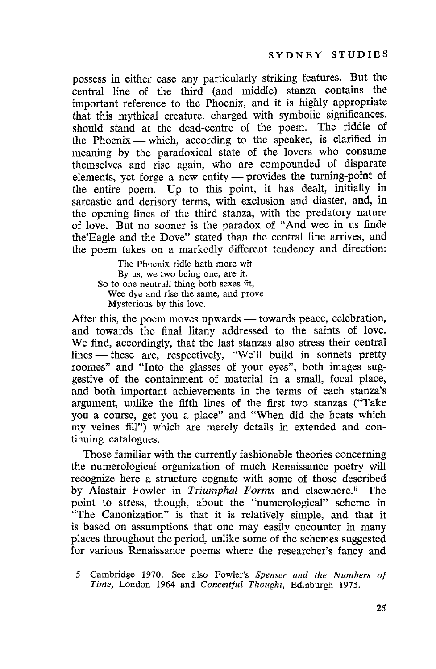possess in either case any particularly striking features. But the central line of the third (and middle) stanza contains the important reference to the Phoenix, and it is highly appropriate that this mythical creature, charged with symbolic significances, should stand at the dead-centre of the poem. The riddle of the Phoenix - which, according to the speaker, is clarified in meaning by the paradoxical state of the lovers who consume themselves and rise again, who are compounded of disparate elements, yet forge a new entity - provides the turning-point of the entire poem. Up to this point, it has dealt, initially in sarcastic and derisory terms, with exclusion and diaster, and, in the opening lincs of the third stanza, with the predatory nature of love. But no sooner is the paradox of "And wee in us finde the'Eagle and the Dove" stated than the central line arrives, and the poem takes on a markedly different tendency and direction:

The Phoenix ridle hath more wit By us, we two being one, are it. So to one neutrall thing both sexes fit, Wee dye and rise the same, and prove Mysterious by this love.

After this, the poem moves upwards - towards peace, celebration, and towards the final litany addressed to the saints of love. We find, accordingly, that the last stanzas also stress their central lines — these are, respectively, "We'll build in sonnets pretty roomes" and "Into the glasses of your eyes", both images suggestive of the containment of material in a small, focal place, and both important achievements in the terms of each stanza's argument, unlike the fifth lines of the first two stanzas ("Take you a course, get you a place" and "When did the heats which my veines fill") which are merely details in extended and continuing catalogues.

Those familiar with the currently fashionable theories concerning the numerological organization of much Renaissance poetry will recognize here a structure cognate with some of those described by Alastair Fowler in *Triumphal Forms* and elsewhere.5 The point to stress, though, about the "numerological" scheme in "The Canonization" is that it is relatively simple, and that it is based on assumptions that one may easily encounter in many places throughout the period, unlike some of the schemes suggested for various Renaissance poems where the researcher's fancy and

<sup>5</sup> Cambridge 1970. See also Fowler's *Spenser and the Numbers of Time, London 1964 and Conceitful Thought, Edinburgh 1975.*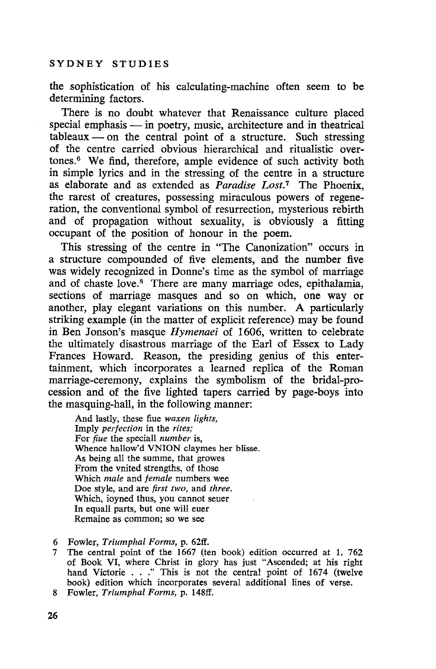the sophistication of his calculating-machine often seem to be determining factors.

There is no doubt whatever that Renaissance culture placed special emphasis - in poetry, music, architecture and in theatrical  $tableaux$  - on the central point of a structure. Such stressing of the centre carried obvious hierarchical and ritualistic overtones.6 We find, therefore, ample evidence of such activity both in simple lyrics and in the stressing of the centre in a structure as elaborate and as extended as *Paradise Lost.7* The Phoenix, the rarest of creatures, possessing miraculous powers of regeneration, the conventional symbol of resurrection, mysterious rebirth and of propagation without sexuality, is obviously a fitting occupant of the position of honour in the poem.

This stressing of the centre in "The Canonization" occurs in a structure compounded of five elements, and the number five was widely recognized in Donne's time as the symbol of marriage and of chaste love.<sup>8</sup> There are many marriage odes, epithalamia, sections of marriage masques and so on which, one way or another, play elegant variations on this number. A particularly striking example (in the matter of explicit reference) may be found in Ben Jonson's masque *Hymenaei* of 1606, written to celebrate the ultimately disastrous marriage of the Earl of Essex to Lady Frances Howard. Reason, the presiding genius of this entertainment, which incorporates a learned replica of the Roman marriage-ceremony, explains the symbolism of the bridal-procession and of the five lighted tapers carried by page-boys into the masquing-hall, in the following manner:

And lastly, these flue *waxen lights,* Imply *perfection* in the *rites;* For *fiue* the speciall *number* is, Whence halIow'd VNION claymes her blisse. As being all the summe, that growes From the vnited strengths, of those Which *male* and *female* numbers wee Doe style, and are *first two,* and *three.* Which, ioyned thus, you cannot seuer In equall parts, but one will euer Remaine as common; so we see

- 6 Fowler, *Triumphal Forms,* p. 62ft'.
- 7 The central point of the 1667 (ten book) edition occurred at 1. 762 of Book VI, where Christ in glory has just "Ascended; at his right hand Victorie ..." This is not the central point of <sup>1674</sup> (twelve book) edition which incorporates several additional lines of verse.
- 8 Fowler, *Triumphal Forms,* p. 148ft'.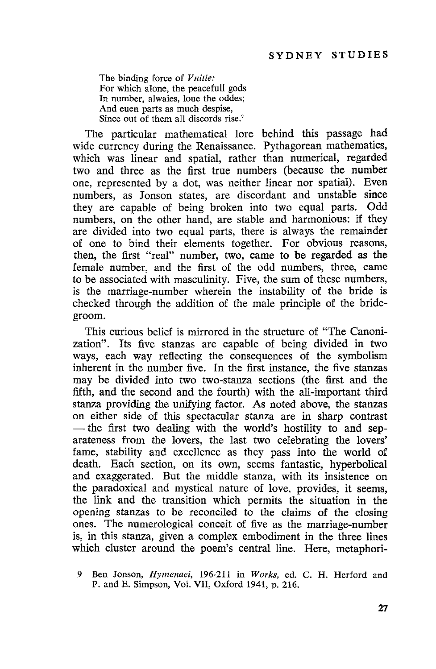The binding force of *Vnitie:* For which alone, the peacefull gods In number, alwaies, loue the oddes; And euen parts as much despise, Since out of them all discords rise.'

The particular mathematical lore behind this passage had wide currency during the Renaissance. Pythagorean mathematics, which was linear and spatial, rather than numerical, regarded two and three as the first true numbers (because the number one, represented by a dot, was neither linear nor spatial). Even numbers, as Jonson states, are discordant and unstable since they are capable of being broken into two equal parts. Odd numbers, on the other hand, are stable and harmonious: if they are divided into two equal parts, there is always the remainder of one to bind their elements together. For obvious reasons, then, the first "real" number, two, came to be regarded as the female number, and the first of the odd numbers, three, came to be associated with masculinity. Five, the sum of these numbers, is the marriage-number wherein the instability of the bride is checked through the addition of the male principle of the bridegroom.

This curious belief is mirrored in the structure of "The Canonization". Its five stanzas are capable of being divided in two ways, each way reflecting the consequences of the symbolism inherent in the number five. In the first instance, the five stanzas may be divided into two two-stanza sections (the first and the fifth, and the second and the fourth) with the all-important third stanza providing the unifying factor. As noted above, the stanzas on either side of this spectacular stanza are in sharp contrast - the first two dealing with the world's hostility to and separateness from the lovers, the last two celebrating the lovers' fame, stability and excellence as they pass into the world of death. Each section, on its own, seems fantastic, hyperbolical and exaggerated. But the middle stanza, with its insistence on the paradoxical and mystical nature of love, provides, it seems, the link and the transition which permits the situation in the opening stanzas to be reconciled to the claims of the closing ones. The numerological conceit of five as the marriage-number is, in this stanza, given a complex embodiment in the three lines which cluster around the poem's central line. Here, metaphori-

<sup>9</sup> Ben Jonson, *Hymenaei,* 196-211 in *Works,* ed. C. H. Herford and P. and E. Simpson, Vol. VII, Oxford 1941, p. 216.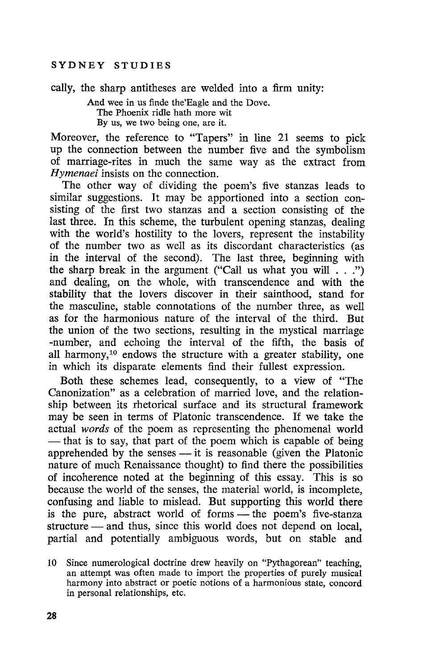cally, the sharp antitheses are welded into a firm unity:

And wee in us finde the'Eagle and the Dove. The Phoenix ridle hath more wit By us, we two being one, are it.

Moreover, the reference to "Tapers" in line 21 seems to pick up the connection between the number five and the symbolism of marriage-rites in much the same way as the extract from *Hymenaei* insists on the connection.

The other way of dividing the poem's five stanzas leads to similar suggestions. It may be apportioned into a section consisting of the first two stanzas and a section consisting of the last three. In this scheme, the turbulent opening stanzas, dealing with the world's hostility to the lovers, represent the instability of the number two as well as its discordant characteristics (as in the interval of the second). The last three, beginning with the sharp break in the argument ("Call us what you will  $\ldots$ ") and dealing, on the whole, with transcendence and with the stability that the lovers discover in their sainthood, stand for the masculine, stable connotations of the number three, as well as for the harmonious nature of the interval of the third. But the union of the two sections, resulting in the mystical marriage -number, and echoing the interval of the fifth, the basis of all harmony,<sup>10</sup> endows the structure with a greater stability, one in which its disparate elements find their fullest expression.

Both these schemes lead, consequently, to a view of "The Canonization" as a celebration of married love, and the relationship between its rhetorical surface and its structural framework may be seen in terms of Platonic transcendence. If we take the actual *words* of the poem as representing the phenomenal world - that is to say, that part of the poem which is capable of being apprehended by the senses  $-$  it is reasonable (given the Platonic nature of much Renaissance thought) to find there the possibilities of incoherence noted at the beginning of this essay. This is so because the world of the senses, the material world, is incomplete, confusing and liable to mislead. But supporting this world there is the pure, abstract world of forms  $\overline{\phantom{a}}$  the poem's five-stanza structure — and thus, since this world does not depend on local, partial and potentially ambiguous words, but on stable and

<sup>10</sup> Since numerological doctrine drew heavily on "Pythagorean" teaching, an attempt was often made to import the properties of purely musical harmony into abstract or poetic notions of a harmonious state, concord in personal relationships, etc.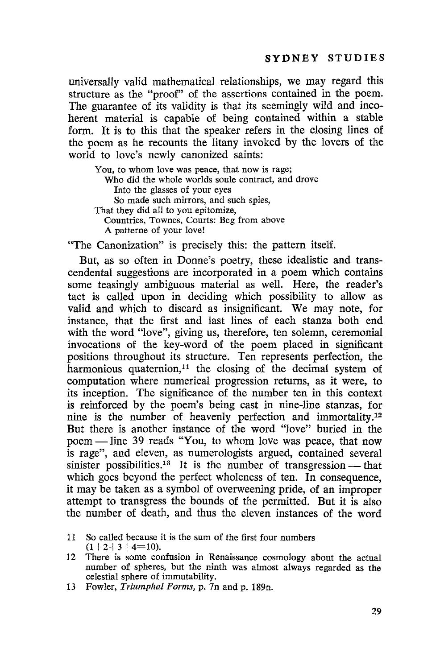universally valid mathematical relationships, we may regard this structure as the "proof" of the assertions contained in the poem. The guarantee of its validity is that its seemingly wild and incoherent material is capable of being contained within a stable form. It is to this that the speaker refers in the closing lines of the poem as he recounts the litany invoked by the lovers of the world to love's newly canonized saints:

You, to whom love was peace, that now is rage; Who did the whole worlds soule contract, and drove Into the glasses of your eyes So made such mirrors, and such spies, That they did all to you epitomize, Countries, Townes, Courts: Beg from above A patterne of your love!

"The Canonization" is precisely this: the pattern itself.

But, as so often in Donne's poetry, these idealistic and transcendental suggestions are incorporated in a poem which contains some teasingly ambiguous material as well. Here, the reader's tact is called upon in deciding which possibility to allow as valid and which to discard as insignificant. We may note, for instance, that the first and last lines of each stanza both end with the word "love", giving us, therefore, ten solemn, ceremonial invocations of the key-word of the poem placed in significant positions throughout its structure. Ten represents perfection, the harmonious quaternion,<sup>11</sup> the closing of the decimal system of computation where numerical progression returns, as it were, to its inception. The significance of the number ten in this context is reinforced by the poem's being cast in nine-line stanzas, for nine is the number of heavenly perfection and immortality.<sup>12</sup> But there is another instance of the word "love" buried in the poem - line 39 reads "You, to whom love was peace, that now is rage", and eleven, as numerologists argued, contained several sinister possibilities.<sup>13</sup> It is the number of transgression — that which goes beyond the perfect wholeness of ten. In consequence, it may be taken as a symbol of overweening pride, of an improper attempt to transgress the bounds of the permitted. But it is also the number of death, and thus the eleven instances of the word

<sup>11</sup> So called because it is the sum of the first four numbers  $(1+2+3+4=10)$ .

<sup>12</sup> There is some confusion in Renaissance cosmology about the actual number of spheres, but the ninth was almost always regarded as the celestial sphere of immutability.

<sup>13</sup> Fowler, *Triumphal Forms,* p. 7n and p. 189n.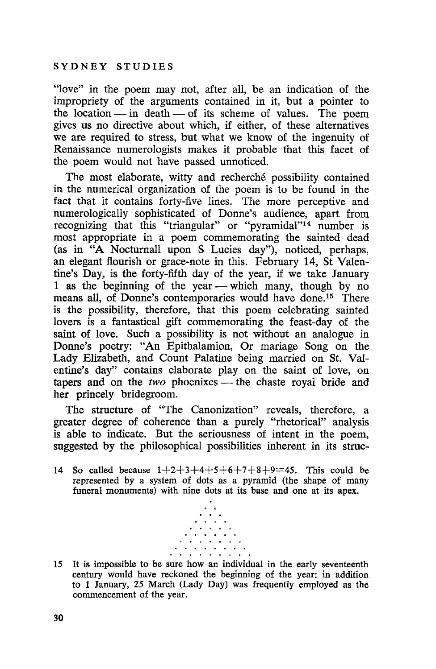"love" in the poem may not, after all, be an indication of the impropriety of the arguments contained in it, but a pointer to the location  $-\sin$  death  $-\sin$  of its scheme of values. The poem gives us no directive about which, if either, of these alternatives we are required to stress, but what we know of the ingenuity of Renaissance numerologists makes it probable that this facet of the poem would not have passed unnoticed.

The most elaborate, witty and recherché possibility contained in the numerical organization of the poem is to be found in the fact that it contains forty-five lines. The more perceptive and numerologically sophisticated of Donne's audience, apart from recognizing that this "triangular" or "pyramidal"<sup>14</sup> number is most appropriate in a poem commemorating the sainted dead (as in "A Nocturnall upon S Lucies day"), noticed, perhaps, an elegant flourish or grace-note in this. February 14, St Valentine's Day, is the forty-fifth day of the year, if we take January 1 as the beginning of the year — which many, though by no means all, of Donne's contemporaries would have done.15 There is the possibility, therefore, that this poem celebrating sainted lovers is a fantastical gift commemorating the feast-day of the saint of love. Such a possibility is not without an analogue in Donne's poetry: "An Epithalamion, Or mariage Song on the Lady Elizabeth, and Count Palatine being married on St. Valentine's day" contains elaborate play on the saint of love, on tapers and on the *two* phoenixes - the chaste royal bride and her princely bridegroom.

The structure of "The Canonization" reveals, therefore, a greater degree of coherence than a purely "rhetorical" analysis is able to indicate. But the seriousness of intent in the poem, suggested by the philosophical possibilities inherent in its struc-

14 So called because  $1+2+3+4+5+6+7+8+9=45$ . This could be represented by a system of dots as a pyramid (the shape of many funeral monuments) with nine dots at its base and one at its apex.



15 It is impossible to be sure how an individual in the early seventeenth century would have reckoned the beginning of the year: in addition to 1 January, 25 March (Lady Day) was frequently employed as the commencement of the year.